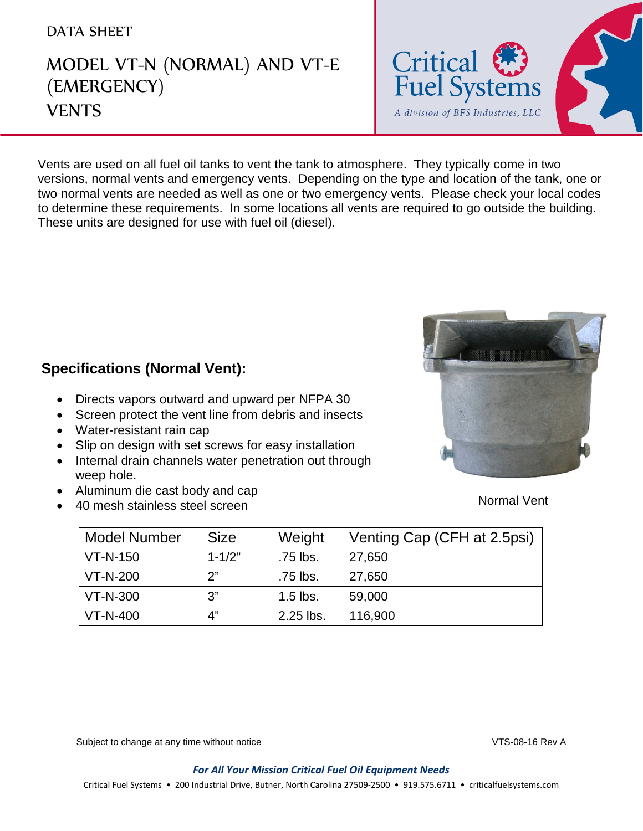## DATA SHEET

## MODEL VT-N (NORMAL) AND VT-E (EMERGENCY) **VENTS**



Vents are used on all fuel oil tanks to vent the tank to atmosphere. They typically come in two versions, normal vents and emergency vents. Depending on the type and location of the tank, one or two normal vents are needed as well as one or two emergency vents. Please check your local codes to determine these requirements. In some locations all vents are required to go outside the building. These units are designed for use with fuel oil (diesel).



## **Specifications (Normal Vent):**

- Directs vapors outward and upward per NFPA 30
- Screen protect the vent line from debris and insects
- Water-resistant rain cap

- Slip on design with set screws for easy installation
- Internal drain channels water penetration out through weep hole.

VT-N-400 4" 2.25 lbs. 116,900

- Aluminum die cast body and cap
- 40 mesh stainless steel screen

| Model Number    | <b>Size</b> | Weight     | Venting Cap (CFH at 2.5psi) |
|-----------------|-------------|------------|-----------------------------|
| $VT - N - 150$  | $1 - 1/2"$  | .75 lbs.   | 27.650                      |
| <b>VT-N-200</b> | 2"          | .75 lbs.   | 27,650                      |
| <b>VT-N-300</b> | ?"          | $1.5$ lbs. | 59,000                      |

Normal Vent

Subject to change at any time without notice **VTS-08-16 Rev A** 

*For All Your Mission Critical Fuel Oil Equipment Needs*

Critical Fuel Systems • 200 Industrial Drive, Butner, North Carolina 27509-2500 • 919.575.6711 • criticalfuelsystems.com